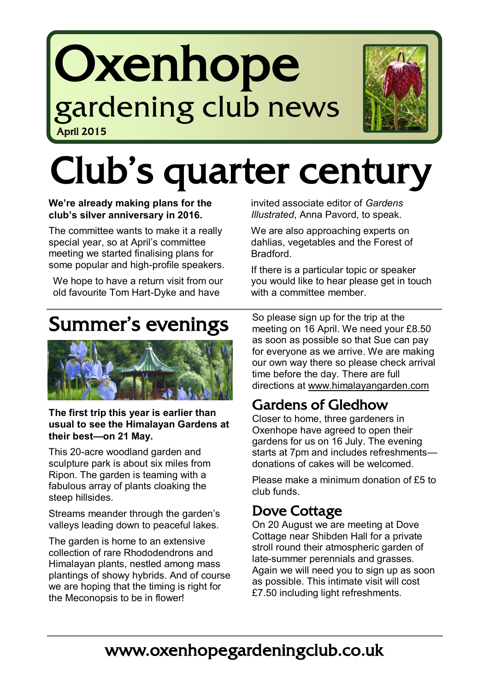## Oxenhope gardening club news April 2015



# Club's quarter century

#### **We're already making plans for the club's silver anniversary in 2016.**

The committee wants to make it a really special year, so at April's committee meeting we started finalising plans for some popular and high-profile speakers.

We hope to have a return visit from our old favourite Tom Hart-Dyke and have

invited associate editor of *Gardens Illustrated*, Anna Pavord, to speak.

We are also approaching experts on dahlias, vegetables and the Forest of Bradford.

If there is a particular topic or speaker you would like to hear please get in touch with a committee member.

## Summer's evenings



#### **The first trip this year is earlier than usual to see the Himalayan Gardens at their best—on 21 May.**

This 20-acre woodland garden and sculpture park is about six miles from Ripon. The garden is teaming with a fabulous array of plants cloaking the steep hillsides.

Streams meander through the garden's valleys leading down to peaceful lakes.

The garden is home to an extensive collection of rare Rhododendrons and Himalayan plants, nestled among mass plantings of showy hybrids. And of course we are hoping that the timing is right for the Meconopsis to be in flower!

So please sign up for the trip at the meeting on 16 April. We need your £8.50 as soon as possible so that Sue can pay for everyone as we arrive. We are making our own way there so please check arrival time before the day. There are full directions at [www.himalayangarden.com](http://www.himalayangarden.com/best-time-to-visit/)

## Gardens of Gledhow

Closer to home, three gardeners in Oxenhope have agreed to open their gardens for us on 16 July. The evening starts at 7pm and includes refreshments donations of cakes will be welcomed.

Please make a minimum donation of £5 to club funds.

## Dove Cottage

On 20 August we are meeting at Dove Cottage near Shibden Hall for a private stroll round their atmospheric garden of late-summer perennials and grasses. Again we will need you to sign up as soon as possible. This intimate visit will cost £7.50 including light refreshments.